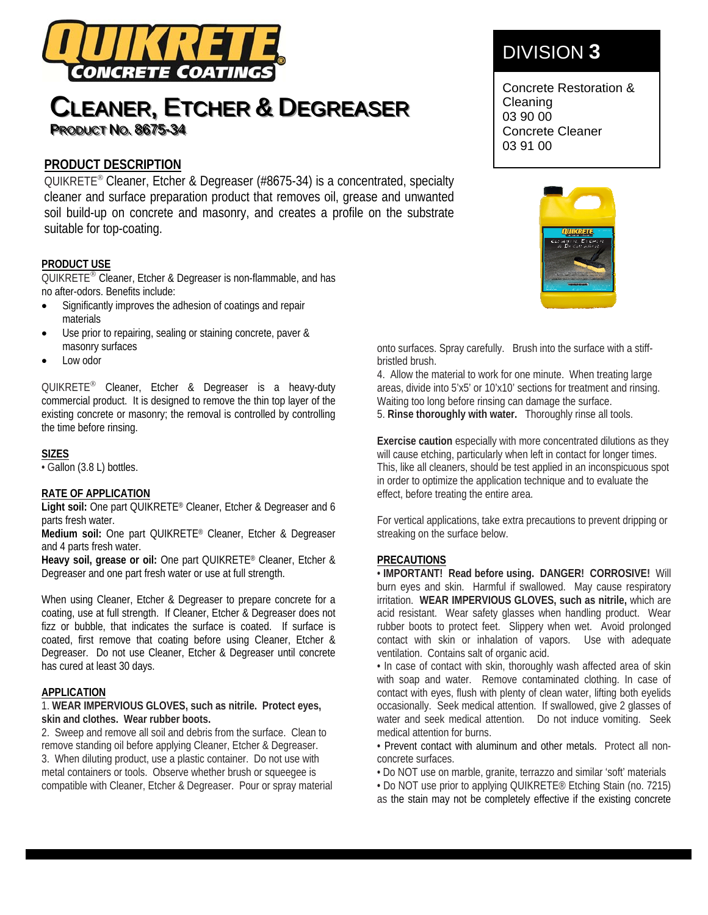

# **CLEANER, ETCHER & DEGREASER PRODUCT NO. 8675-34**

### **PRODUCT DESCRIPTION**

QUIKRETE<sup>®</sup> Cleaner, Etcher & Degreaser (#8675-34) is a concentrated, specialty cleaner and surface preparation product that removes oil, grease and unwanted soil build-up on concrete and masonry, and creates a profile on the substrate suitable for top-coating.

#### **PRODUCT USE**

QUIKRETE<sup>®</sup> Cleaner, Etcher & Degreaser is non-flammable, and has no after-odors. Benefits include:

- Significantly improves the adhesion of coatings and repair materials
- Use prior to repairing, sealing or staining concrete, paver & masonry surfaces
- Low odor

QUIKRETE<sup>®</sup> Cleaner, Etcher & Degreaser is a heavy-duty commercial product. It is designed to remove the thin top layer of the existing concrete or masonry; the removal is controlled by controlling the time before rinsing.

#### **SIZES**

• Gallon (3.8 L) bottles.

#### **RATE OF APPLICATION**

**Light soil:** One part QUIKRETE® Cleaner, Etcher & Degreaser and 6 parts fresh water.

**Medium soil:** One part QUIKRETE® Cleaner, Etcher & Degreaser and 4 parts fresh water.

**Heavy soil, grease or oil:** One part QUIKRETE® Cleaner, Etcher & Degreaser and one part fresh water or use at full strength.

When using Cleaner, Etcher & Degreaser to prepare concrete for a coating, use at full strength. If Cleaner, Etcher & Degreaser does not fizz or bubble, that indicates the surface is coated. If surface is coated, first remove that coating before using Cleaner, Etcher & Degreaser. Do not use Cleaner, Etcher & Degreaser until concrete has cured at least 30 days.

#### **APPLICATION**

1. **WEAR IMPERVIOUS GLOVES, such as nitrile. Protect eyes, skin and clothes. Wear rubber boots.**

2. Sweep and remove all soil and debris from the surface. Clean to remove standing oil before applying Cleaner, Etcher & Degreaser. 3. When diluting product, use a plastic container. Do not use with metal containers or tools. Observe whether brush or squeegee is compatible with Cleaner, Etcher & Degreaser. Pour or spray material

## DIVISION **3**

Concrete Restoration & Cleaning 03 90 00 Concrete Cleaner 03 91 00



onto surfaces. Spray carefully. Brush into the surface with a stiffbristled brush.

4. Allow the material to work for one minute. When treating large areas, divide into 5'x5' or 10'x10' sections for treatment and rinsing. Waiting too long before rinsing can damage the surface. 5. **Rinse thoroughly with water.** Thoroughly rinse all tools.

**Exercise caution** especially with more concentrated dilutions as they will cause etching, particularly when left in contact for longer times. This, like all cleaners, should be test applied in an inconspicuous spot in order to optimize the application technique and to evaluate the effect, before treating the entire area.

For vertical applications, take extra precautions to prevent dripping or streaking on the surface below.

#### **PRECAUTIONS**

• **IMPORTANT! Read before using. DANGER! CORROSIVE!** Will burn eyes and skin. Harmful if swallowed. May cause respiratory irritation. **WEAR IMPERVIOUS GLOVES, such as nitrile,** which are acid resistant. Wear safety glasses when handling product. Wear rubber boots to protect feet. Slippery when wet. Avoid prolonged contact with skin or inhalation of vapors. Use with adequate ventilation. Contains salt of organic acid.

• In case of contact with skin, thoroughly wash affected area of skin with soap and water. Remove contaminated clothing. In case of contact with eyes, flush with plenty of clean water, lifting both eyelids occasionally. Seek medical attention. If swallowed, give 2 glasses of water and seek medical attention. Do not induce vomiting. Seek medical attention for burns.

• Prevent contact with aluminum and other metals. Protect all nonconcrete surfaces.

• Do NOT use on marble, granite, terrazzo and similar 'soft' materials

• Do NOT use prior to applying QUIKRETE® Etching Stain (no. 7215)

as the stain may not be completely effective if the existing concrete